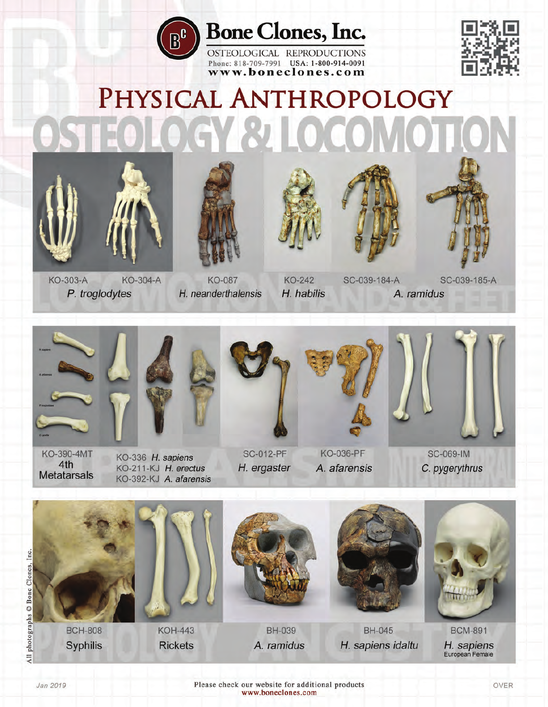

## **Bone Clones, Inc.**

OSTEOLOGICAL REPRODUCTIONS Phone: 818-709-7991 USA: 1-800-914-0091 www.boneclones.com



# PHYSICAL ANTHROPOLOGY GY 81 LOCOMOT











KO-303-A **KO-304-A** P. troglodytes

KO-087 H. neanderthalensis

**KO-242** H. habilis

SC-039-184-A A. ramidus

SC-039-185-A



**KO-390-4MT** 4th **Metatarsals** 



KO-336 H. sapiens

KO-211-KJ H. erectus

KO-392-KJ A. afarensis



**SC-012-PF** H. ergaster



**KO-036-PF** A. afarensis



**SC-069-IM** C. pygerythrus



Jan 2019